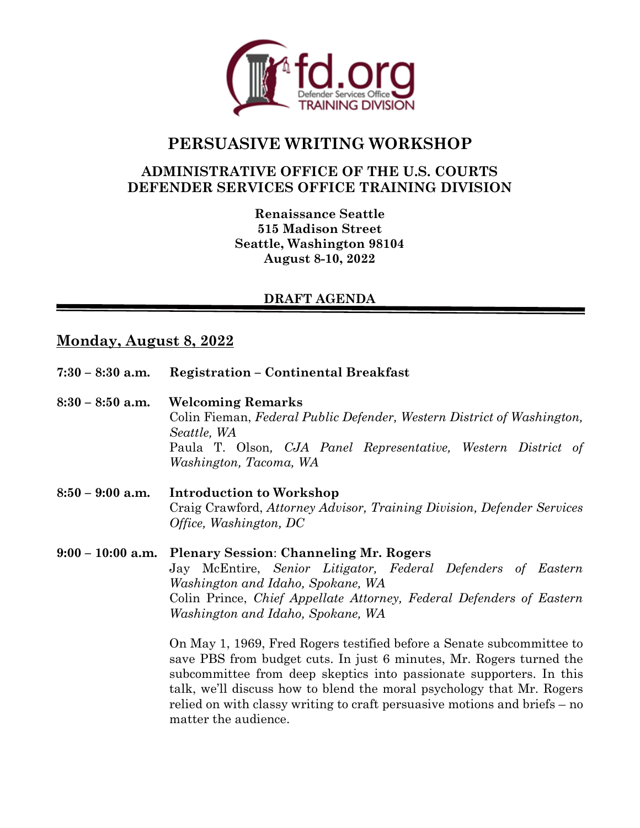

# **PERSUASIVE WRITING WORKSHOP**

## **ADMINISTRATIVE OFFICE OF THE U.S. COURTS DEFENDER SERVICES OFFICE TRAINING DIVISION**

**Renaissance Seattle 515 Madison Street Seattle, Washington 98104 August 8-10, 2022**

## **DRAFT AGENDA**

## **Monday, August 8, 2022**

| $7:30 - 8:30$ a.m.  | <b>Registration – Continental Breakfast</b>                                                                                                                                                                                                                                                                                                                                                                                                                                                                                                                                                                                                    |
|---------------------|------------------------------------------------------------------------------------------------------------------------------------------------------------------------------------------------------------------------------------------------------------------------------------------------------------------------------------------------------------------------------------------------------------------------------------------------------------------------------------------------------------------------------------------------------------------------------------------------------------------------------------------------|
| $8:30 - 8:50$ a.m.  | <b>Welcoming Remarks</b><br>Colin Fieman, Federal Public Defender, Western District of Washington,<br>Seattle, WA<br>Paula T. Olson, CJA Panel Representative, Western District of<br>Washington, Tacoma, WA                                                                                                                                                                                                                                                                                                                                                                                                                                   |
| $8:50 - 9:00$ a.m.  | <b>Introduction to Workshop</b><br>Craig Crawford, Attorney Advisor, Training Division, Defender Services<br><i>Office, Washington, DC</i>                                                                                                                                                                                                                                                                                                                                                                                                                                                                                                     |
| $9:00 - 10:00$ a.m. | <b>Plenary Session: Channeling Mr. Rogers</b><br>Jay McEntire, Senior Litigator, Federal Defenders of Eastern<br>Washington and Idaho, Spokane, WA<br>Colin Prince, Chief Appellate Attorney, Federal Defenders of Eastern<br>Washington and Idaho, Spokane, WA<br>On May 1, 1969, Fred Rogers testified before a Senate subcommittee to<br>save PBS from budget cuts. In just 6 minutes, Mr. Rogers turned the<br>subcommittee from deep skeptics into passionate supporters. In this<br>talk, we'll discuss how to blend the moral psychology that Mr. Rogers<br>relied on with classy writing to craft persuasive motions and briefs $-$ no |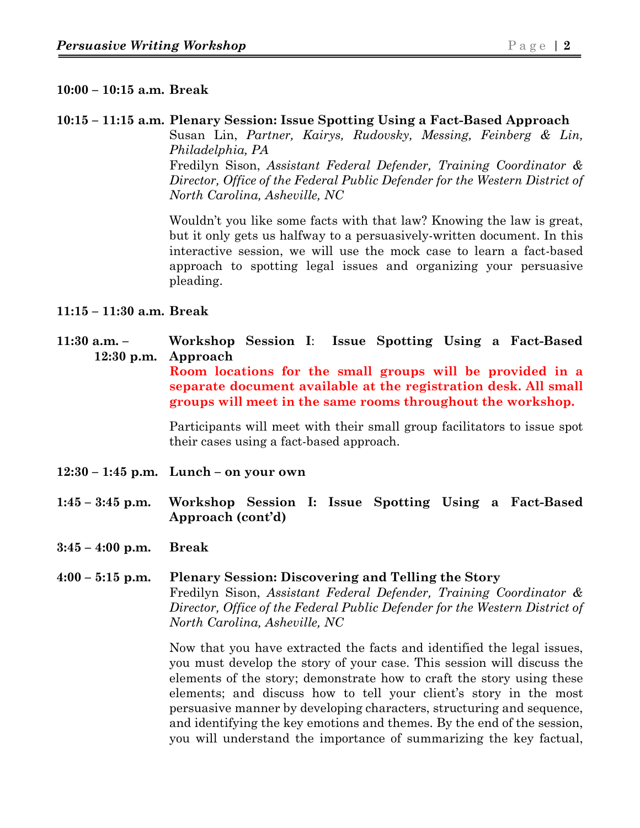#### **10:00 – 10:15 a.m. Break**

#### **10:15 – 11:15 a.m. Plenary Session: Issue Spotting Using a Fact-Based Approach**

Susan Lin, *Partner, Kairys, Rudovsky, Messing, Feinberg & Lin, Philadelphia, PA* Fredilyn Sison, *Assistant Federal Defender, Training Coordinator &* 

*Director, Office of the Federal Public Defender for the Western District of North Carolina, Asheville, NC*

Wouldn't you like some facts with that law? Knowing the law is great, but it only gets us halfway to a persuasively-written document. In this interactive session, we will use the mock case to learn a fact-based approach to spotting legal issues and organizing your persuasive pleading.

#### **11:15 – 11:30 a.m. Break**

**11:30 a.m. – Workshop Session I**: **Issue Spotting Using a Fact-Based 12:30 p.m. Approach Room locations for the small groups will be provided in a separate document available at the registration desk. All small groups will meet in the same rooms throughout the workshop.** 

> Participants will meet with their small group facilitators to issue spot their cases using a fact-based approach.

- **12:30 – 1:45 p.m. Lunch – on your own**
- **1:45 – 3:45 p.m. Workshop Session I: Issue Spotting Using a Fact-Based Approach (cont'd)**
- **3:45 – 4:00 p.m. Break**
- **4:00 – 5:15 p.m. Plenary Session: Discovering and Telling the Story**  Fredilyn Sison, *Assistant Federal Defender, Training Coordinator & Director, Office of the Federal Public Defender for the Western District of North Carolina, Asheville, NC*

Now that you have extracted the facts and identified the legal issues, you must develop the story of your case. This session will discuss the elements of the story; demonstrate how to craft the story using these elements; and discuss how to tell your client's story in the most persuasive manner by developing characters, structuring and sequence, and identifying the key emotions and themes. By the end of the session, you will understand the importance of summarizing the key factual,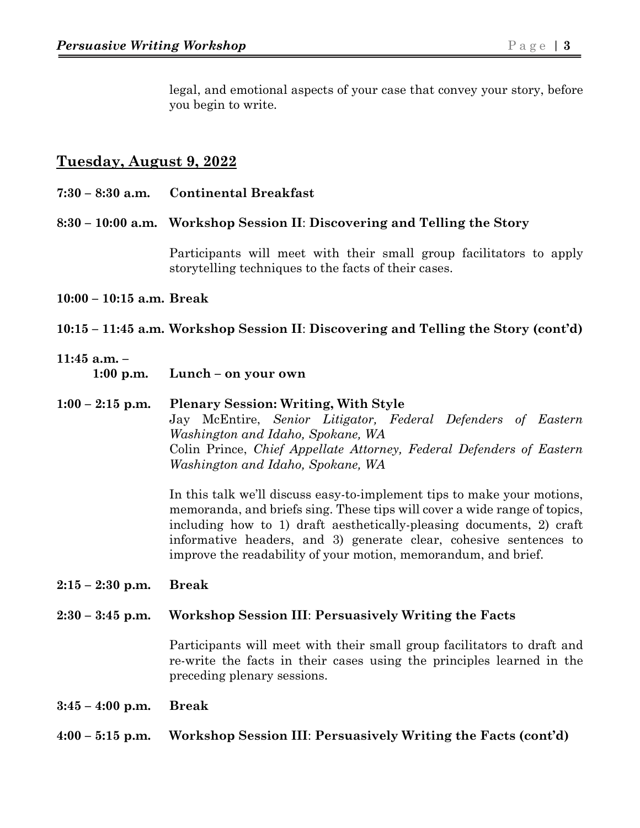legal, and emotional aspects of your case that convey your story, before you begin to write.

## **Tuesday, August 9, 2022**

| $7:30 - 8:30$ a.m.            | <b>Continental Breakfast</b>                                                                                                                                                                                                                                                                                                                                        |  |
|-------------------------------|---------------------------------------------------------------------------------------------------------------------------------------------------------------------------------------------------------------------------------------------------------------------------------------------------------------------------------------------------------------------|--|
|                               | 8:30 – 10:00 a.m. Workshop Session II: Discovering and Telling the Story                                                                                                                                                                                                                                                                                            |  |
|                               | Participants will meet with their small group facilitators to apply<br>storytelling techniques to the facts of their cases.                                                                                                                                                                                                                                         |  |
| $10:00 - 10:15$ a.m. Break    |                                                                                                                                                                                                                                                                                                                                                                     |  |
|                               | 10:15 – 11:45 a.m. Workshop Session II: Discovering and Telling the Story (cont'd)                                                                                                                                                                                                                                                                                  |  |
| $11:45$ a.m. -<br>$1:00$ p.m. | Lunch – on your own                                                                                                                                                                                                                                                                                                                                                 |  |
| $1:00 - 2:15$ p.m.            | <b>Plenary Session: Writing, With Style</b><br>Jay McEntire, Senior Litigator, Federal Defenders of Eastern<br>Washington and Idaho, Spokane, WA<br>Colin Prince, Chief Appellate Attorney, Federal Defenders of Eastern<br>Washington and Idaho, Spokane, WA                                                                                                       |  |
|                               | In this talk we'll discuss easy-to-implement tips to make your motions,<br>memoranda, and briefs sing. These tips will cover a wide range of topics,<br>including how to 1) draft aesthetically-pleasing documents, 2) craft<br>informative headers, and 3) generate clear, cohesive sentences to<br>improve the readability of your motion, memorandum, and brief. |  |
| $2:15 - 2:30$ p.m.            | <b>Break</b>                                                                                                                                                                                                                                                                                                                                                        |  |
| $2:30 - 3:45$ p.m.            | Workshop Session III: Persuasively Writing the Facts                                                                                                                                                                                                                                                                                                                |  |

Participants will meet with their small group facilitators to draft and re-write the facts in their cases using the principles learned in the preceding plenary sessions.

- **3:45 4:00 p.m. Break**
- **4:00 5:15 p.m. Workshop Session III**: **Persuasively Writing the Facts (cont'd)**